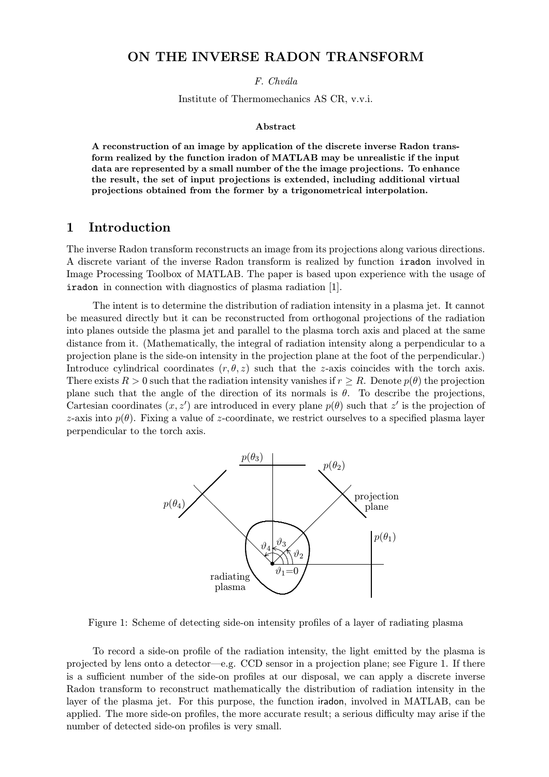### ON THE INVERSE RADON TRANSFORM

F. Chvála

Institute of Thermomechanics AS CR, v.v.i.

#### Abstract

A reconstruction of an image by application of the discrete inverse Radon transform realized by the function iradon of MATLAB may be unrealistic if the input data are represented by a small number of the the image projections. To enhance the result, the set of input projections is extended, including additional virtual projections obtained from the former by a trigonometrical interpolation.

#### 1 Introduction

The inverse Radon transform reconstructs an image from its projections along various directions. A discrete variant of the inverse Radon transform is realized by function iradon involved in Image Processing Toolbox of MATLAB. The paper is based upon experience with the usage of iradon in connection with diagnostics of plasma radiation [1].

The intent is to determine the distribution of radiation intensity in a plasma jet. It cannot be measured directly but it can be reconstructed from orthogonal projections of the radiation into planes outside the plasma jet and parallel to the plasma torch axis and placed at the same distance from it. (Mathematically, the integral of radiation intensity along a perpendicular to a projection plane is the side-on intensity in the projection plane at the foot of the perpendicular.) Introduce cylindrical coordinates  $(r, \theta, z)$  such that the z-axis coincides with the torch axis. There exists  $R > 0$  such that the radiation intensity vanishes if  $r > R$ . Denote  $p(\theta)$  the projection plane such that the angle of the direction of its normals is  $\theta$ . To describe the projections, Cartesian coordinates  $(x, z')$  are introduced in every plane  $p(\theta)$  such that z' is the projection of z-axis into  $p(\theta)$ . Fixing a value of z-coordinate, we restrict ourselves to a specified plasma layer perpendicular to the torch axis.



Figure 1: Scheme of detecting side-on intensity profiles of a layer of radiating plasma

To record a side-on profile of the radiation intensity, the light emitted by the plasma is projected by lens onto a detector—e.g. CCD sensor in a projection plane; see Figure 1. If there is a sufficient number of the side-on profiles at our disposal, we can apply a discrete inverse Radon transform to reconstruct mathematically the distribution of radiation intensity in the layer of the plasma jet. For this purpose, the function iradon, involved in MATLAB, can be applied. The more side-on profiles, the more accurate result; a serious difficulty may arise if the number of detected side-on profiles is very small.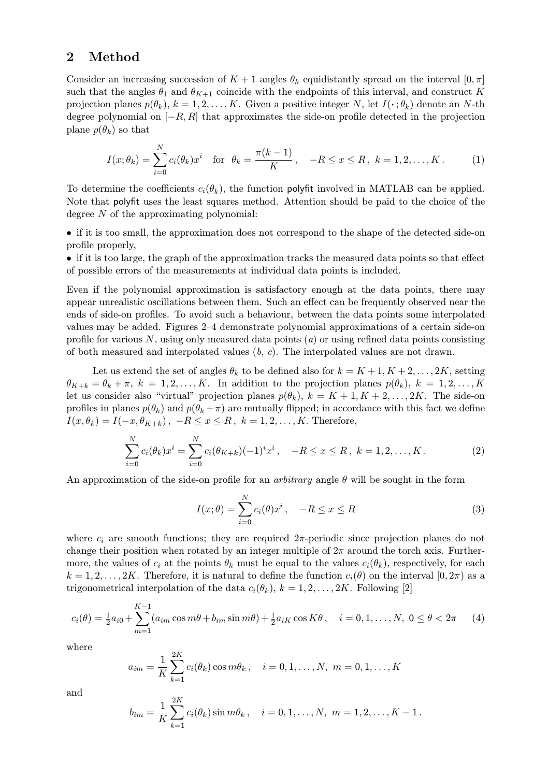### 2 Method

Consider an increasing succession of  $K + 1$  angles  $\theta_k$  equidistantly spread on the interval  $[0, \pi]$ such that the angles  $\theta_1$  and  $\theta_{K+1}$  coincide with the endpoints of this interval, and construct K projection planes  $p(\theta_k)$ ,  $k = 1, 2, ..., K$ . Given a positive integer N, let  $I(\cdot; \theta_k)$  denote an N-th degree polynomial on  $[-R, R]$  that approximates the side-on profile detected in the projection plane  $p(\theta_k)$  so that

$$
I(x; \theta_k) = \sum_{i=0}^{N} c_i(\theta_k) x^i \quad \text{for} \ \ \theta_k = \frac{\pi(k-1)}{K}, \quad -R \le x \le R, \ k = 1, 2, \dots, K. \tag{1}
$$

To determine the coefficients  $c_i(\theta_k)$ , the function polyfit involved in MATLAB can be applied. Note that polyfit uses the least squares method. Attention should be paid to the choice of the degree N of the approximating polynomial:

• if it is too small, the approximation does not correspond to the shape of the detected side-on profile properly,

• if it is too large, the graph of the approximation tracks the measured data points so that effect of possible errors of the measurements at individual data points is included.

Even if the polynomial approximation is satisfactory enough at the data points, there may appear unrealistic oscillations between them. Such an effect can be frequently observed near the ends of side-on profiles. To avoid such a behaviour, between the data points some interpolated values may be added. Figures 2–4 demonstrate polynomial approximations of a certain side-on profile for various  $N$ , using only measured data points (a) or using refined data points consisting of both measured and interpolated values  $(b, c)$ . The interpolated values are not drawn.

Let us extend the set of angles  $\theta_k$  to be defined also for  $k = K + 1, K + 2, \ldots, 2K$ , setting  $\theta_{K+k} = \theta_k + \pi$ ,  $k = 1, 2, ..., K$ . In addition to the projection planes  $p(\theta_k)$ ,  $k = 1, 2, ..., K$ let us consider also "virtual" projection planes  $p(\theta_k)$ ,  $k = K + 1, K + 2, \ldots, 2K$ . The side-on profiles in planes  $p(\theta_k)$  and  $p(\theta_k + \pi)$  are mutually flipped; in accordance with this fact we define  $I(x, \theta_k) = I(-x, \theta_{K+k}), -R \leq x \leq R, k = 1, 2, \ldots, K.$  Therefore,

$$
\sum_{i=0}^{N} c_i(\theta_k) x^i = \sum_{i=0}^{N} c_i(\theta_{K+k})(-1)^i x^i, \quad -R \le x \le R, \ k = 1, 2, \dots, K. \tag{2}
$$

An approximation of the side-on profile for an *arbitrary* angle  $\theta$  will be sought in the form

$$
I(x; \theta) = \sum_{i=0}^{N} c_i(\theta) x^i, \quad -R \le x \le R
$$
 (3)

where  $c_i$  are smooth functions; they are required  $2\pi$ -periodic since projection planes do not change their position when rotated by an integer multiple of  $2\pi$  around the torch axis. Furthermore, the values of  $c_i$  at the points  $\theta_k$  must be equal to the values  $c_i(\theta_k)$ , respectively, for each  $k = 1, 2, \ldots, 2K$ . Therefore, it is natural to define the function  $c_i(\theta)$  on the interval  $[0, 2\pi)$  as a trigonometrical interpolation of the data  $c_i(\theta_k)$ ,  $k = 1, 2, ..., 2K$ . Following [2]

$$
c_i(\theta) = \frac{1}{2}a_{i0} + \sum_{m=1}^{K-1} (a_{im}\cos m\theta + b_{im}\sin m\theta) + \frac{1}{2}a_{iK}\cos K\theta, \quad i = 0, 1, ..., N, \ 0 \le \theta < 2\pi \tag{4}
$$

where

$$
a_{im} = \frac{1}{K} \sum_{k=1}^{2K} c_i(\theta_k) \cos m\theta_k, \quad i = 0, 1, ..., N, \ m = 0, 1, ..., K
$$

and

$$
b_{im} = \frac{1}{K} \sum_{k=1}^{2K} c_i(\theta_k) \sin m\theta_k, \quad i = 0, 1, \dots, N, \ m = 1, 2, \dots, K - 1.
$$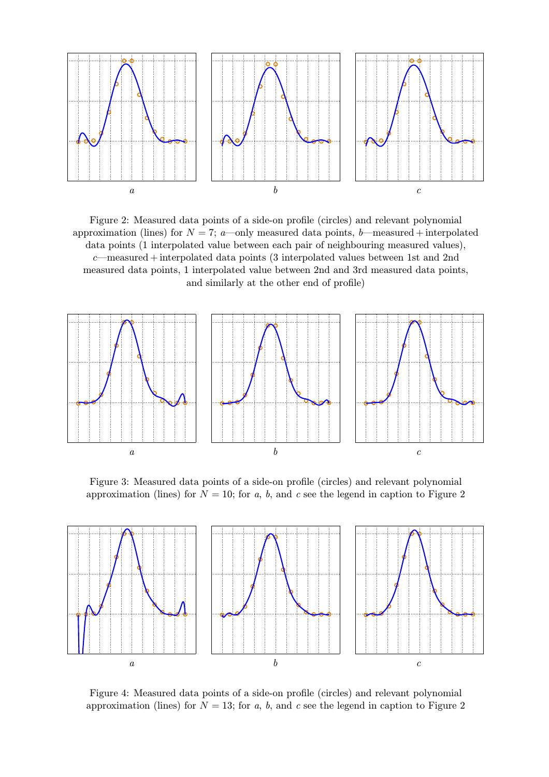

Figure 2: Measured data points of a side-on profile (circles) and relevant polynomial approximation (lines) for  $N = 7$ ; a—only measured data points, b—measured + interpolated data points (1 interpolated value between each pair of neighbouring measured values), c—measured + interpolated data points (3 interpolated values between 1st and 2nd measured data points, 1 interpolated value between 2nd and 3rd measured data points, and similarly at the other end of profile)



Figure 3: Measured data points of a side-on profile (circles) and relevant polynomial approximation (lines) for  $N = 10$ ; for a, b, and c see the legend in caption to Figure 2



Figure 4: Measured data points of a side-on profile (circles) and relevant polynomial approximation (lines) for  $N = 13$ ; for a, b, and c see the legend in caption to Figure 2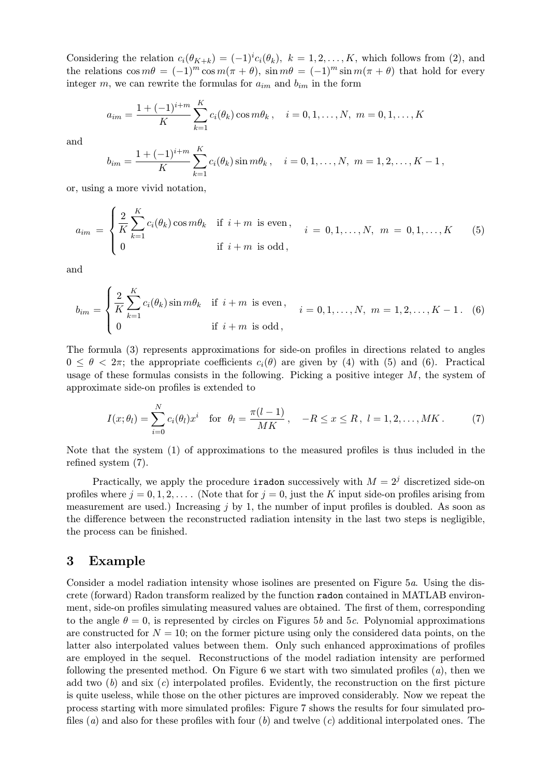Considering the relation  $c_i(\theta_{K+k}) = (-1)^i c_i(\theta_k)$ ,  $k = 1, 2, ..., K$ , which follows from (2), and the relations  $\cos m\theta = (-1)^m \cos m(\pi + \theta)$ ,  $\sin m\theta = (-1)^m \sin m(\pi + \theta)$  that hold for every integer m, we can rewrite the formulas for  $a_{im}$  and  $b_{im}$  in the form

$$
a_{im} = \frac{1 + (-1)^{i+m}}{K} \sum_{k=1}^{K} c_i(\theta_k) \cos m\theta_k, \quad i = 0, 1, \dots, N, \ m = 0, 1, \dots, K
$$

and

$$
b_{im} = \frac{1 + (-1)^{i+m}}{K} \sum_{k=1}^{K} c_i(\theta_k) \sin m\theta_k, \quad i = 0, 1, ..., N, \ m = 1, 2, ..., K - 1,
$$

or, using a more vivid notation,

$$
a_{im} = \begin{cases} \frac{2}{K} \sum_{k=1}^{K} c_i(\theta_k) \cos m\theta_k & \text{if } i+m \text{ is even}, \\ 0 & \text{if } i+m \text{ is odd}, \end{cases} \quad i = 0, 1, ..., N, \ m = 0, 1, ..., K \quad (5)
$$

and

$$
b_{im} = \begin{cases} \frac{2}{K} \sum_{k=1}^{K} c_i(\theta_k) \sin m\theta_k & \text{if } i+m \text{ is even}, \\ 0 & \text{if } i+m \text{ is odd}, \end{cases} \quad i = 0, 1, \dots, N, \ m = 1, 2, \dots, K - 1. \tag{6}
$$

The formula (3) represents approximations for side-on profiles in directions related to angles  $0 \le \theta \le 2\pi$ ; the appropriate coefficients  $c_i(\theta)$  are given by (4) with (5) and (6). Practical usage of these formulas consists in the following. Picking a positive integer  $M$ , the system of approximate side-on profiles is extended to

$$
I(x; \theta_l) = \sum_{i=0}^{N} c_i(\theta_l) x^i \text{ for } \theta_l = \frac{\pi(l-1)}{MK}, \quad -R \le x \le R, \ l = 1, 2, \dots, MK. \tag{7}
$$

Note that the system (1) of approximations to the measured profiles is thus included in the refined system (7).

Practically, we apply the procedure **iradon** successively with  $M = 2<sup>j</sup>$  discretized side-on profiles where  $j = 0, 1, 2, \ldots$ . (Note that for  $j = 0$ , just the K input side-on profiles arising from measurement are used.) Increasing  $j$  by 1, the number of input profiles is doubled. As soon as the difference between the reconstructed radiation intensity in the last two steps is negligible, the process can be finished.

### 3 Example

Consider a model radiation intensity whose isolines are presented on Figure 5a. Using the discrete (forward) Radon transform realized by the function radon contained in MATLAB environment, side-on profiles simulating measured values are obtained. The first of them, corresponding to the angle  $\theta = 0$ , is represented by circles on Figures 5b and 5c. Polynomial approximations are constructed for  $N = 10$ ; on the former picture using only the considered data points, on the latter also interpolated values between them. Only such enhanced approximations of profiles are employed in the sequel. Reconstructions of the model radiation intensity are performed following the presented method. On Figure 6 we start with two simulated profiles (a), then we add two  $(b)$  and six  $(c)$  interpolated profiles. Evidently, the reconstruction on the first picture is quite useless, while those on the other pictures are improved considerably. Now we repeat the process starting with more simulated profiles: Figure 7 shows the results for four simulated profiles (*a*) and also for these profiles with four (*b*) and twelve (*c*) additional interpolated ones. The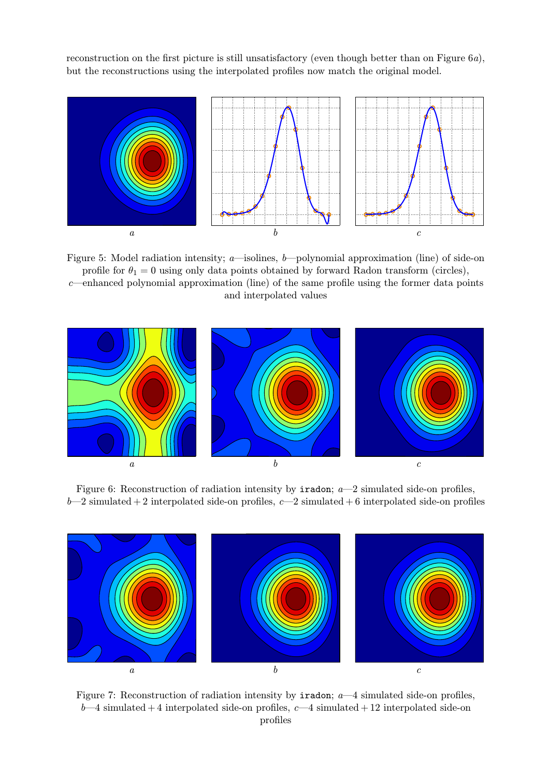reconstruction on the first picture is still unsatisfactory (even though better than on Figure 6a), but the reconstructions using the interpolated profiles now match the original model.



Figure 5: Model radiation intensity; a—isolines, b—polynomial approximation (line) of side-on profile for  $\theta_1 = 0$  using only data points obtained by forward Radon transform (circles), c—enhanced polynomial approximation (line) of the same profile using the former data points and interpolated values



Figure 6: Reconstruction of radiation intensity by  $i$ radon;  $a$ —2 simulated side-on profiles,  $b-2$  simulated + 2 interpolated side-on profiles,  $c-2$  simulated + 6 interpolated side-on profiles



Figure 7: Reconstruction of radiation intensity by **iradon**;  $a$ —4 simulated side-on profiles,  $b-4$  simulated + 4 interpolated side-on profiles,  $c-4$  simulated + 12 interpolated side-on profiles